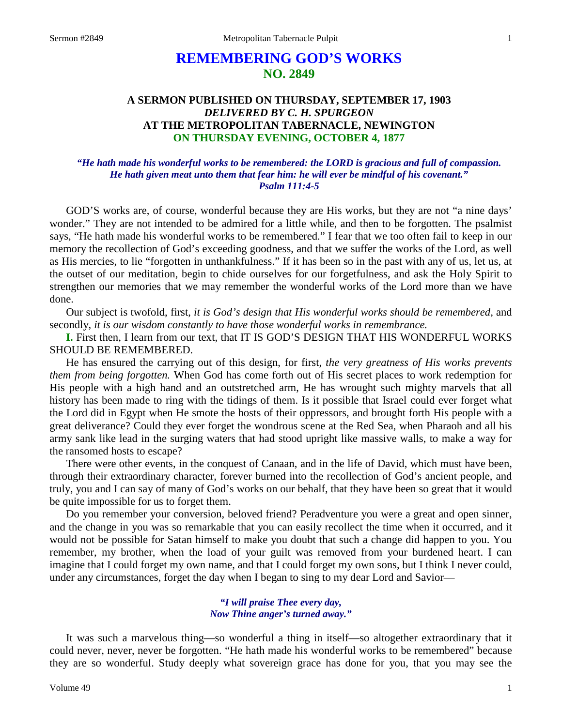# **REMEMBERING GOD'S WORKS NO. 2849**

## **A SERMON PUBLISHED ON THURSDAY, SEPTEMBER 17, 1903** *DELIVERED BY C. H. SPURGEON* **AT THE METROPOLITAN TABERNACLE, NEWINGTON ON THURSDAY EVENING, OCTOBER 4, 1877**

### *"He hath made his wonderful works to be remembered: the LORD is gracious and full of compassion. He hath given meat unto them that fear him: he will ever be mindful of his covenant." Psalm 111:4-5*

GOD'S works are, of course, wonderful because they are His works, but they are not "a nine days' wonder." They are not intended to be admired for a little while, and then to be forgotten. The psalmist says, "He hath made his wonderful works to be remembered." I fear that we too often fail to keep in our memory the recollection of God's exceeding goodness, and that we suffer the works of the Lord, as well as His mercies, to lie "forgotten in unthankfulness." If it has been so in the past with any of us, let us, at the outset of our meditation, begin to chide ourselves for our forgetfulness, and ask the Holy Spirit to strengthen our memories that we may remember the wonderful works of the Lord more than we have done.

Our subject is twofold, first, *it is God's design that His wonderful works should be remembered,* and secondly, *it is our wisdom constantly to have those wonderful works in remembrance.* 

**I.** First then, I learn from our text, that IT IS GOD'S DESIGN THAT HIS WONDERFUL WORKS SHOULD BE REMEMBERED.

He has ensured the carrying out of this design, for first, *the very greatness of His works prevents them from being forgotten.* When God has come forth out of His secret places to work redemption for His people with a high hand and an outstretched arm, He has wrought such mighty marvels that all history has been made to ring with the tidings of them. Is it possible that Israel could ever forget what the Lord did in Egypt when He smote the hosts of their oppressors, and brought forth His people with a great deliverance? Could they ever forget the wondrous scene at the Red Sea, when Pharaoh and all his army sank like lead in the surging waters that had stood upright like massive walls, to make a way for the ransomed hosts to escape?

There were other events, in the conquest of Canaan, and in the life of David, which must have been, through their extraordinary character, forever burned into the recollection of God's ancient people, and truly, you and I can say of many of God's works on our behalf, that they have been so great that it would be quite impossible for us to forget them.

Do you remember your conversion, beloved friend? Peradventure you were a great and open sinner, and the change in you was so remarkable that you can easily recollect the time when it occurred, and it would not be possible for Satan himself to make you doubt that such a change did happen to you. You remember, my brother, when the load of your guilt was removed from your burdened heart. I can imagine that I could forget my own name, and that I could forget my own sons, but I think I never could, under any circumstances, forget the day when I began to sing to my dear Lord and Savior—

#### *"I will praise Thee every day, Now Thine anger's turned away."*

It was such a marvelous thing—so wonderful a thing in itself—so altogether extraordinary that it could never, never, never be forgotten. "He hath made his wonderful works to be remembered" because they are so wonderful. Study deeply what sovereign grace has done for you, that you may see the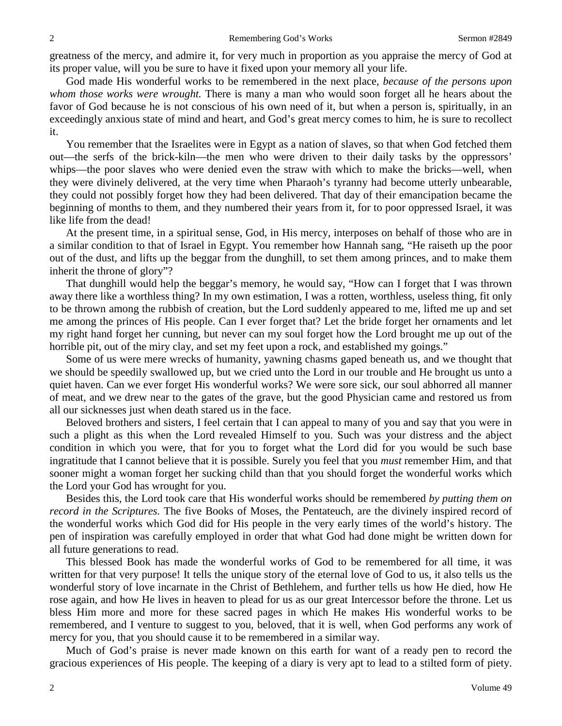greatness of the mercy, and admire it, for very much in proportion as you appraise the mercy of God at its proper value, will you be sure to have it fixed upon your memory all your life.

God made His wonderful works to be remembered in the next place, *because of the persons upon whom those works were wrought.* There is many a man who would soon forget all he hears about the favor of God because he is not conscious of his own need of it, but when a person is, spiritually, in an exceedingly anxious state of mind and heart, and God's great mercy comes to him, he is sure to recollect it.

You remember that the Israelites were in Egypt as a nation of slaves, so that when God fetched them out—the serfs of the brick-kiln—the men who were driven to their daily tasks by the oppressors' whips—the poor slaves who were denied even the straw with which to make the bricks—well, when they were divinely delivered, at the very time when Pharaoh's tyranny had become utterly unbearable, they could not possibly forget how they had been delivered. That day of their emancipation became the beginning of months to them, and they numbered their years from it, for to poor oppressed Israel, it was like life from the dead!

At the present time, in a spiritual sense, God, in His mercy, interposes on behalf of those who are in a similar condition to that of Israel in Egypt. You remember how Hannah sang, "He raiseth up the poor out of the dust, and lifts up the beggar from the dunghill, to set them among princes, and to make them inherit the throne of glory"?

That dunghill would help the beggar's memory, he would say, "How can I forget that I was thrown away there like a worthless thing? In my own estimation, I was a rotten, worthless, useless thing, fit only to be thrown among the rubbish of creation, but the Lord suddenly appeared to me, lifted me up and set me among the princes of His people. Can I ever forget that? Let the bride forget her ornaments and let my right hand forget her cunning, but never can my soul forget how the Lord brought me up out of the horrible pit, out of the miry clay, and set my feet upon a rock, and established my goings."

Some of us were mere wrecks of humanity, yawning chasms gaped beneath us, and we thought that we should be speedily swallowed up, but we cried unto the Lord in our trouble and He brought us unto a quiet haven. Can we ever forget His wonderful works? We were sore sick, our soul abhorred all manner of meat, and we drew near to the gates of the grave, but the good Physician came and restored us from all our sicknesses just when death stared us in the face.

Beloved brothers and sisters, I feel certain that I can appeal to many of you and say that you were in such a plight as this when the Lord revealed Himself to you. Such was your distress and the abject condition in which you were, that for you to forget what the Lord did for you would be such base ingratitude that I cannot believe that it is possible. Surely you feel that you *must* remember Him, and that sooner might a woman forget her sucking child than that you should forget the wonderful works which the Lord your God has wrought for you.

Besides this, the Lord took care that His wonderful works should be remembered *by putting them on record in the Scriptures.* The five Books of Moses, the Pentateuch, are the divinely inspired record of the wonderful works which God did for His people in the very early times of the world's history. The pen of inspiration was carefully employed in order that what God had done might be written down for all future generations to read.

This blessed Book has made the wonderful works of God to be remembered for all time, it was written for that very purpose! It tells the unique story of the eternal love of God to us, it also tells us the wonderful story of love incarnate in the Christ of Bethlehem, and further tells us how He died, how He rose again, and how He lives in heaven to plead for us as our great Intercessor before the throne. Let us bless Him more and more for these sacred pages in which He makes His wonderful works to be remembered, and I venture to suggest to you, beloved, that it is well, when God performs any work of mercy for you, that you should cause it to be remembered in a similar way.

Much of God's praise is never made known on this earth for want of a ready pen to record the gracious experiences of His people. The keeping of a diary is very apt to lead to a stilted form of piety.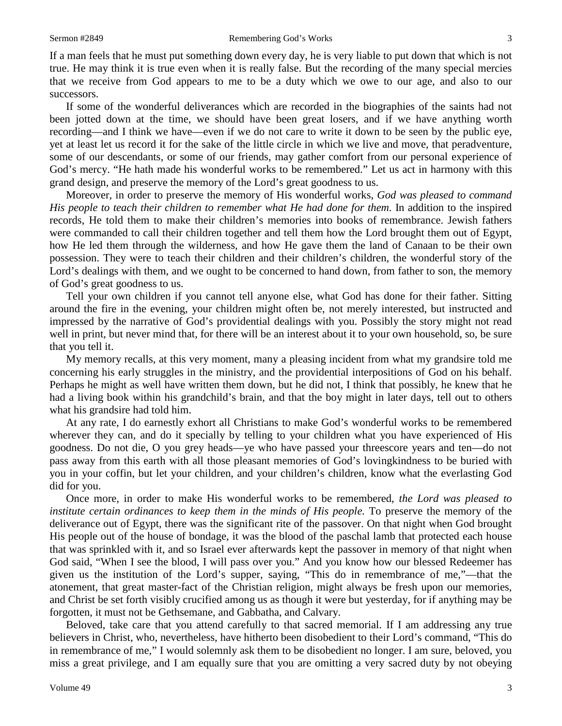If a man feels that he must put something down every day, he is very liable to put down that which is not true. He may think it is true even when it is really false. But the recording of the many special mercies that we receive from God appears to me to be a duty which we owe to our age, and also to our successors.

If some of the wonderful deliverances which are recorded in the biographies of the saints had not been jotted down at the time, we should have been great losers, and if we have anything worth recording—and I think we have—even if we do not care to write it down to be seen by the public eye, yet at least let us record it for the sake of the little circle in which we live and move, that peradventure, some of our descendants, or some of our friends, may gather comfort from our personal experience of God's mercy. "He hath made his wonderful works to be remembered." Let us act in harmony with this grand design, and preserve the memory of the Lord's great goodness to us.

Moreover, in order to preserve the memory of His wonderful works, *God was pleased to command His people to teach their children to remember what He had done for them*. In addition to the inspired records, He told them to make their children's memories into books of remembrance. Jewish fathers were commanded to call their children together and tell them how the Lord brought them out of Egypt, how He led them through the wilderness, and how He gave them the land of Canaan to be their own possession. They were to teach their children and their children's children, the wonderful story of the Lord's dealings with them, and we ought to be concerned to hand down, from father to son, the memory of God's great goodness to us.

Tell your own children if you cannot tell anyone else, what God has done for their father. Sitting around the fire in the evening, your children might often be, not merely interested, but instructed and impressed by the narrative of God's providential dealings with you. Possibly the story might not read well in print, but never mind that, for there will be an interest about it to your own household, so, be sure that you tell it.

My memory recalls, at this very moment, many a pleasing incident from what my grandsire told me concerning his early struggles in the ministry, and the providential interpositions of God on his behalf. Perhaps he might as well have written them down, but he did not, I think that possibly, he knew that he had a living book within his grandchild's brain, and that the boy might in later days, tell out to others what his grandsire had told him.

At any rate, I do earnestly exhort all Christians to make God's wonderful works to be remembered wherever they can, and do it specially by telling to your children what you have experienced of His goodness. Do not die, O you grey heads—ye who have passed your threescore years and ten—do not pass away from this earth with all those pleasant memories of God's lovingkindness to be buried with you in your coffin, but let your children, and your children's children, know what the everlasting God did for you.

Once more, in order to make His wonderful works to be remembered, *the Lord was pleased to institute certain ordinances to keep them in the minds of His people.* To preserve the memory of the deliverance out of Egypt, there was the significant rite of the passover. On that night when God brought His people out of the house of bondage, it was the blood of the paschal lamb that protected each house that was sprinkled with it, and so Israel ever afterwards kept the passover in memory of that night when God said, "When I see the blood, I will pass over you." And you know how our blessed Redeemer has given us the institution of the Lord's supper, saying, "This do in remembrance of me,"—that the atonement, that great master-fact of the Christian religion, might always be fresh upon our memories, and Christ be set forth visibly crucified among us as though it were but yesterday, for if anything may be forgotten, it must not be Gethsemane, and Gabbatha, and Calvary.

Beloved, take care that you attend carefully to that sacred memorial. If I am addressing any true believers in Christ, who, nevertheless, have hitherto been disobedient to their Lord's command, "This do in remembrance of me," I would solemnly ask them to be disobedient no longer. I am sure, beloved, you miss a great privilege, and I am equally sure that you are omitting a very sacred duty by not obeying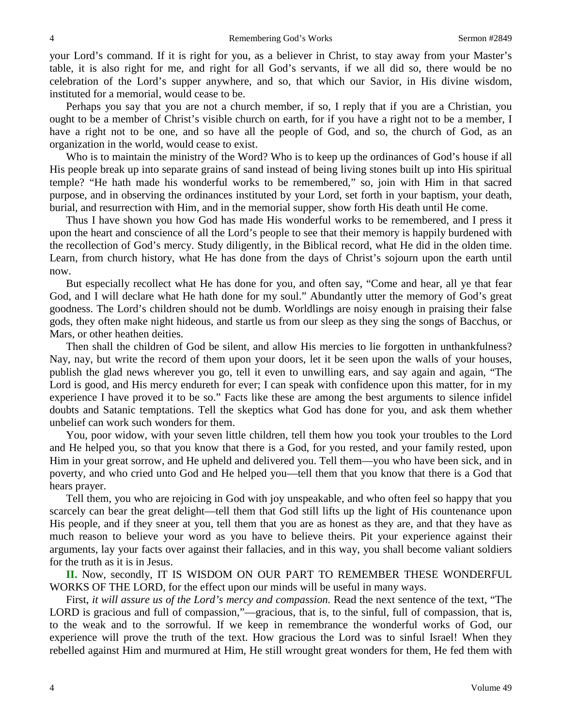your Lord's command. If it is right for you, as a believer in Christ, to stay away from your Master's table, it is also right for me, and right for all God's servants, if we all did so, there would be no celebration of the Lord's supper anywhere, and so, that which our Savior, in His divine wisdom, instituted for a memorial, would cease to be.

Perhaps you say that you are not a church member, if so, I reply that if you are a Christian, you ought to be a member of Christ's visible church on earth, for if you have a right not to be a member, I have a right not to be one, and so have all the people of God, and so, the church of God, as an organization in the world, would cease to exist.

Who is to maintain the ministry of the Word? Who is to keep up the ordinances of God's house if all His people break up into separate grains of sand instead of being living stones built up into His spiritual temple? "He hath made his wonderful works to be remembered," so, join with Him in that sacred purpose, and in observing the ordinances instituted by your Lord, set forth in your baptism, your death, burial, and resurrection with Him, and in the memorial supper, show forth His death until He come.

Thus I have shown you how God has made His wonderful works to be remembered, and I press it upon the heart and conscience of all the Lord's people to see that their memory is happily burdened with the recollection of God's mercy. Study diligently, in the Biblical record, what He did in the olden time. Learn, from church history, what He has done from the days of Christ's sojourn upon the earth until now.

But especially recollect what He has done for you, and often say, "Come and hear, all ye that fear God, and I will declare what He hath done for my soul." Abundantly utter the memory of God's great goodness. The Lord's children should not be dumb. Worldlings are noisy enough in praising their false gods, they often make night hideous, and startle us from our sleep as they sing the songs of Bacchus, or Mars, or other heathen deities.

Then shall the children of God be silent, and allow His mercies to lie forgotten in unthankfulness? Nay, nay, but write the record of them upon your doors, let it be seen upon the walls of your houses, publish the glad news wherever you go, tell it even to unwilling ears, and say again and again, "The Lord is good, and His mercy endureth for ever; I can speak with confidence upon this matter, for in my experience I have proved it to be so." Facts like these are among the best arguments to silence infidel doubts and Satanic temptations. Tell the skeptics what God has done for you, and ask them whether unbelief can work such wonders for them.

You, poor widow, with your seven little children, tell them how you took your troubles to the Lord and He helped you, so that you know that there is a God, for you rested, and your family rested, upon Him in your great sorrow, and He upheld and delivered you. Tell them—you who have been sick, and in poverty, and who cried unto God and He helped you—tell them that you know that there is a God that hears prayer.

Tell them, you who are rejoicing in God with joy unspeakable, and who often feel so happy that you scarcely can bear the great delight—tell them that God still lifts up the light of His countenance upon His people, and if they sneer at you, tell them that you are as honest as they are, and that they have as much reason to believe your word as you have to believe theirs. Pit your experience against their arguments, lay your facts over against their fallacies, and in this way, you shall become valiant soldiers for the truth as it is in Jesus.

**II.** Now, secondly, IT IS WISDOM ON OUR PART TO REMEMBER THESE WONDERFUL WORKS OF THE LORD, for the effect upon our minds will be useful in many ways.

First, *it will assure us of the Lord's mercy and compassion.* Read the next sentence of the text, "The LORD is gracious and full of compassion,"—gracious, that is, to the sinful, full of compassion, that is, to the weak and to the sorrowful. If we keep in remembrance the wonderful works of God, our experience will prove the truth of the text. How gracious the Lord was to sinful Israel! When they rebelled against Him and murmured at Him, He still wrought great wonders for them, He fed them with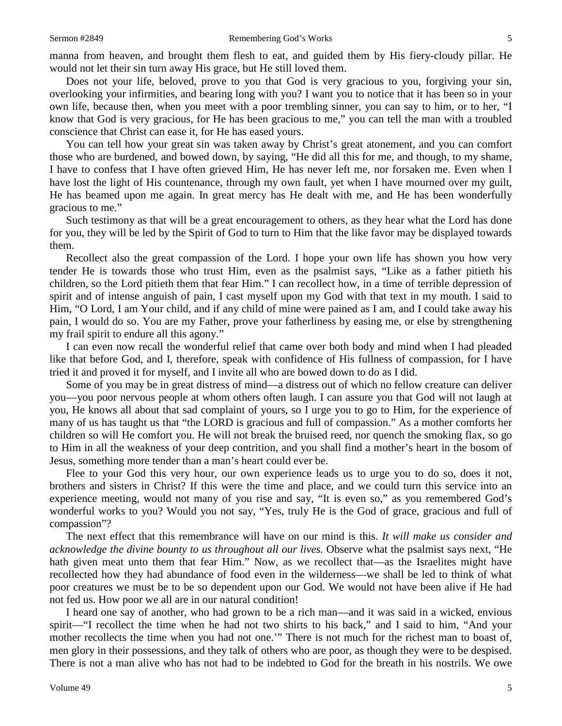manna from heaven, and brought them flesh to eat, and guided them by His fiery-cloudy pillar. He would not let their sin turn away His grace, but He still loved them.

Does not your life, beloved, prove to you that God is very gracious to you, forgiving your sin, overlooking your infirmities, and bearing long with you? I want you to notice that it has been so in your own life, because then, when you meet with a poor trembling sinner, you can say to him, or to her, "I know that God is very gracious, for He has been gracious to me," you can tell the man with a troubled conscience that Christ can ease it, for He has eased yours.

You can tell how your great sin was taken away by Christ's great atonement, and you can comfort those who are burdened, and bowed down, by saying, "He did all this for me, and though, to my shame, I have to confess that I have often grieved Him, He has never left me, nor forsaken me. Even when I have lost the light of His countenance, through my own fault, yet when I have mourned over my guilt, He has beamed upon me again. In great mercy has He dealt with me, and He has been wonderfully gracious to me."

Such testimony as that will be a great encouragement to others, as they hear what the Lord has done for you, they will be led by the Spirit of God to turn to Him that the like favor may be displayed towards them.

Recollect also the great compassion of the Lord. I hope your own life has shown you how very tender He is towards those who trust Him, even as the psalmist says, "Like as a father pitieth his children, so the Lord pitieth them that fear Him." I can recollect how, in a time of terrible depression of spirit and of intense anguish of pain, I cast myself upon my God with that text in my mouth. I said to Him, "O Lord, I am Your child, and if any child of mine were pained as I am, and I could take away his pain, I would do so. You are my Father, prove your fatherliness by easing me, or else by strengthening my frail spirit to endure all this agony."

I can even now recall the wonderful relief that came over both body and mind when I had pleaded like that before God, and I, therefore, speak with confidence of His fullness of compassion, for I have tried it and proved it for myself, and I invite all who are bowed down to do as I did.

Some of you may be in great distress of mind—a distress out of which no fellow creature can deliver you—you poor nervous people at whom others often laugh. I can assure you that God will not laugh at you, He knows all about that sad complaint of yours, so I urge you to go to Him, for the experience of many of us has taught us that "the LORD is gracious and full of compassion." As a mother comforts her children so will He comfort you. He will not break the bruised reed, nor quench the smoking flax, so go to Him in all the weakness of your deep contrition, and you shall find a mother's heart in the bosom of Jesus, something more tender than a man's heart could ever be.

Flee to your God this very hour, our own experience leads us to urge you to do so, does it not, brothers and sisters in Christ? If this were the time and place, and we could turn this service into an experience meeting, would not many of you rise and say, "It is even so," as you remembered God's wonderful works to you? Would you not say, "Yes, truly He is the God of grace, gracious and full of compassion"?

The next effect that this remembrance will have on our mind is this. *It will make us consider and acknowledge the divine bounty to us throughout all our lives.* Observe what the psalmist says next, "He hath given meat unto them that fear Him." Now, as we recollect that—as the Israelites might have recollected how they had abundance of food even in the wilderness—we shall be led to think of what poor creatures we must be to be so dependent upon our God. We would not have been alive if He had not fed us. How poor we all are in our natural condition!

I heard one say of another, who had grown to be a rich man—and it was said in a wicked, envious spirit—"I recollect the time when he had not two shirts to his back," and I said to him, "And your mother recollects the time when you had not one.'" There is not much for the richest man to boast of, men glory in their possessions, and they talk of others who are poor, as though they were to be despised. There is not a man alive who has not had to be indebted to God for the breath in his nostrils. We owe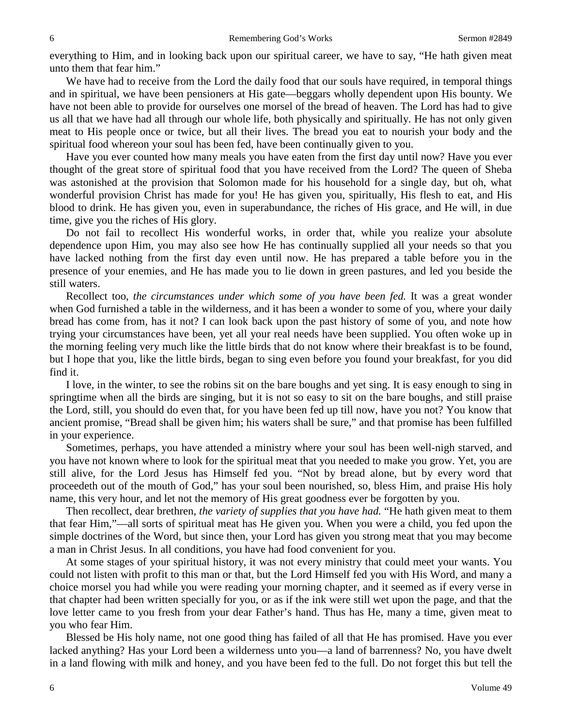everything to Him, and in looking back upon our spiritual career, we have to say, "He hath given meat unto them that fear him."

We have had to receive from the Lord the daily food that our souls have required, in temporal things and in spiritual, we have been pensioners at His gate—beggars wholly dependent upon His bounty. We have not been able to provide for ourselves one morsel of the bread of heaven. The Lord has had to give us all that we have had all through our whole life, both physically and spiritually. He has not only given meat to His people once or twice, but all their lives. The bread you eat to nourish your body and the spiritual food whereon your soul has been fed, have been continually given to you.

Have you ever counted how many meals you have eaten from the first day until now? Have you ever thought of the great store of spiritual food that you have received from the Lord? The queen of Sheba was astonished at the provision that Solomon made for his household for a single day, but oh, what wonderful provision Christ has made for you! He has given you, spiritually, His flesh to eat, and His blood to drink. He has given you, even in superabundance, the riches of His grace, and He will, in due time, give you the riches of His glory.

Do not fail to recollect His wonderful works, in order that, while you realize your absolute dependence upon Him, you may also see how He has continually supplied all your needs so that you have lacked nothing from the first day even until now. He has prepared a table before you in the presence of your enemies, and He has made you to lie down in green pastures, and led you beside the still waters.

Recollect too, *the circumstances under which some of you have been fed.* It was a great wonder when God furnished a table in the wilderness, and it has been a wonder to some of you, where your daily bread has come from, has it not? I can look back upon the past history of some of you, and note how trying your circumstances have been, yet all your real needs have been supplied. You often woke up in the morning feeling very much like the little birds that do not know where their breakfast is to be found, but I hope that you, like the little birds, began to sing even before you found your breakfast, for you did find it.

I love, in the winter, to see the robins sit on the bare boughs and yet sing. It is easy enough to sing in springtime when all the birds are singing, but it is not so easy to sit on the bare boughs, and still praise the Lord, still, you should do even that, for you have been fed up till now, have you not? You know that ancient promise, "Bread shall be given him; his waters shall be sure," and that promise has been fulfilled in your experience.

Sometimes, perhaps, you have attended a ministry where your soul has been well-nigh starved, and you have not known where to look for the spiritual meat that you needed to make you grow. Yet, you are still alive, for the Lord Jesus has Himself fed you. "Not by bread alone, but by every word that proceedeth out of the mouth of God," has your soul been nourished, so, bless Him, and praise His holy name, this very hour, and let not the memory of His great goodness ever be forgotten by you.

Then recollect, dear brethren, *the variety of supplies that you have had.* "He hath given meat to them that fear Him,"—all sorts of spiritual meat has He given you. When you were a child, you fed upon the simple doctrines of the Word, but since then, your Lord has given you strong meat that you may become a man in Christ Jesus. In all conditions, you have had food convenient for you.

At some stages of your spiritual history, it was not every ministry that could meet your wants. You could not listen with profit to this man or that, but the Lord Himself fed you with His Word, and many a choice morsel you had while you were reading your morning chapter, and it seemed as if every verse in that chapter had been written specially for you, or as if the ink were still wet upon the page, and that the love letter came to you fresh from your dear Father's hand. Thus has He, many a time, given meat to you who fear Him.

Blessed be His holy name, not one good thing has failed of all that He has promised. Have you ever lacked anything? Has your Lord been a wilderness unto you—a land of barrenness? No, you have dwelt in a land flowing with milk and honey, and you have been fed to the full. Do not forget this but tell the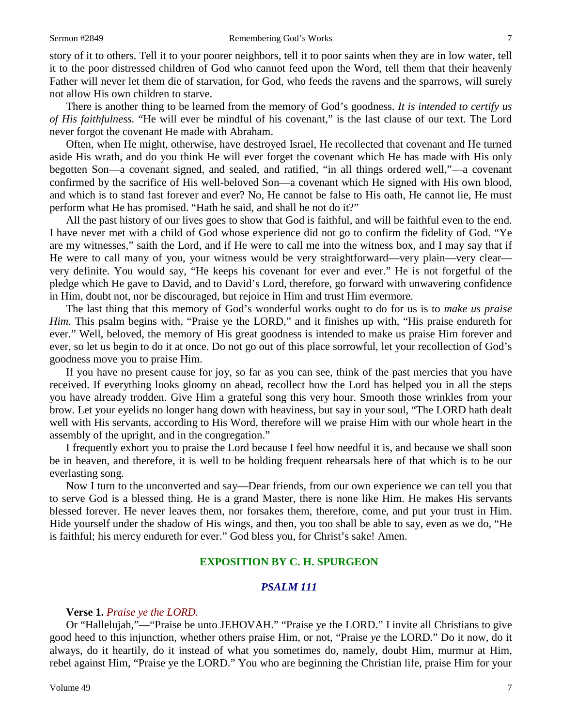story of it to others. Tell it to your poorer neighbors, tell it to poor saints when they are in low water, tell it to the poor distressed children of God who cannot feed upon the Word, tell them that their heavenly Father will never let them die of starvation, for God, who feeds the ravens and the sparrows, will surely not allow His own children to starve.

There is another thing to be learned from the memory of God's goodness. *It is intended to certify us of His faithfulness.* "He will ever be mindful of his covenant," is the last clause of our text. The Lord never forgot the covenant He made with Abraham.

Often, when He might, otherwise, have destroyed Israel, He recollected that covenant and He turned aside His wrath, and do you think He will ever forget the covenant which He has made with His only begotten Son—a covenant signed, and sealed, and ratified, "in all things ordered well,"—a covenant confirmed by the sacrifice of His well-beloved Son—a covenant which He signed with His own blood, and which is to stand fast forever and ever? No, He cannot be false to His oath, He cannot lie, He must perform what He has promised. "Hath he said, and shall he not do it?"

All the past history of our lives goes to show that God is faithful, and will be faithful even to the end. I have never met with a child of God whose experience did not go to confirm the fidelity of God. "Ye are my witnesses," saith the Lord, and if He were to call me into the witness box, and I may say that if He were to call many of you, your witness would be very straightforward—very plain—very clear very definite. You would say, "He keeps his covenant for ever and ever." He is not forgetful of the pledge which He gave to David, and to David's Lord, therefore, go forward with unwavering confidence in Him, doubt not, nor be discouraged, but rejoice in Him and trust Him evermore.

The last thing that this memory of God's wonderful works ought to do for us is to *make us praise Him.* This psalm begins with, "Praise ye the LORD," and it finishes up with, "His praise endureth for ever." Well, beloved, the memory of His great goodness is intended to make us praise Him forever and ever, so let us begin to do it at once. Do not go out of this place sorrowful, let your recollection of God's goodness move you to praise Him.

If you have no present cause for joy, so far as you can see, think of the past mercies that you have received. If everything looks gloomy on ahead, recollect how the Lord has helped you in all the steps you have already trodden. Give Him a grateful song this very hour. Smooth those wrinkles from your brow. Let your eyelids no longer hang down with heaviness, but say in your soul, "The LORD hath dealt well with His servants, according to His Word, therefore will we praise Him with our whole heart in the assembly of the upright, and in the congregation."

I frequently exhort you to praise the Lord because I feel how needful it is, and because we shall soon be in heaven, and therefore, it is well to be holding frequent rehearsals here of that which is to be our everlasting song.

Now I turn to the unconverted and say—Dear friends, from our own experience we can tell you that to serve God is a blessed thing. He is a grand Master, there is none like Him. He makes His servants blessed forever. He never leaves them, nor forsakes them, therefore, come, and put your trust in Him. Hide yourself under the shadow of His wings, and then, you too shall be able to say, even as we do, "He is faithful; his mercy endureth for ever." God bless you, for Christ's sake! Amen.

#### **EXPOSITION BY C. H. SPURGEON**

## *PSALM 111*

#### **Verse 1.** *Praise ye the LORD.*

Or "Hallelujah,"—"Praise be unto JEHOVAH." "Praise ye the LORD." I invite all Christians to give good heed to this injunction, whether others praise Him, or not, "Praise *ye* the LORD." Do it now, do it always, do it heartily, do it instead of what you sometimes do, namely, doubt Him, murmur at Him, rebel against Him, "Praise ye the LORD." You who are beginning the Christian life, praise Him for your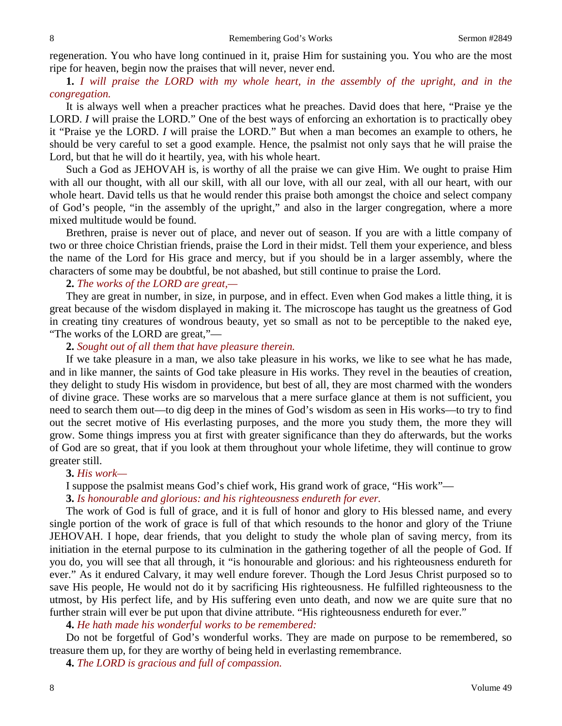regeneration. You who have long continued in it, praise Him for sustaining you. You who are the most ripe for heaven, begin now the praises that will never, never end.

**1.** *I will praise the LORD with my whole heart, in the assembly of the upright, and in the congregation.*

It is always well when a preacher practices what he preaches. David does that here, "Praise ye the LORD. *I* will praise the LORD." One of the best ways of enforcing an exhortation is to practically obey it "Praise ye the LORD. *I* will praise the LORD." But when a man becomes an example to others, he should be very careful to set a good example. Hence, the psalmist not only says that he will praise the Lord, but that he will do it heartily, yea, with his whole heart.

Such a God as JEHOVAH is, is worthy of all the praise we can give Him. We ought to praise Him with all our thought, with all our skill, with all our love, with all our zeal, with all our heart, with our whole heart. David tells us that he would render this praise both amongst the choice and select company of God's people, "in the assembly of the upright," and also in the larger congregation, where a more mixed multitude would be found.

Brethren, praise is never out of place, and never out of season. If you are with a little company of two or three choice Christian friends, praise the Lord in their midst. Tell them your experience, and bless the name of the Lord for His grace and mercy, but if you should be in a larger assembly, where the characters of some may be doubtful, be not abashed, but still continue to praise the Lord.

#### **2.** *The works of the LORD are great,—*

They are great in number, in size, in purpose, and in effect. Even when God makes a little thing, it is great because of the wisdom displayed in making it. The microscope has taught us the greatness of God in creating tiny creatures of wondrous beauty, yet so small as not to be perceptible to the naked eye, "The works of the LORD are great,"—

#### **2.** *Sought out of all them that have pleasure therein.*

If we take pleasure in a man, we also take pleasure in his works, we like to see what he has made, and in like manner, the saints of God take pleasure in His works. They revel in the beauties of creation, they delight to study His wisdom in providence, but best of all, they are most charmed with the wonders of divine grace. These works are so marvelous that a mere surface glance at them is not sufficient, you need to search them out—to dig deep in the mines of God's wisdom as seen in His works—to try to find out the secret motive of His everlasting purposes, and the more you study them, the more they will grow. Some things impress you at first with greater significance than they do afterwards, but the works of God are so great, that if you look at them throughout your whole lifetime, they will continue to grow greater still.

#### **3.** *His work—*

I suppose the psalmist means God's chief work, His grand work of grace, "His work"—

**3.** *Is honourable and glorious: and his righteousness endureth for ever.*

The work of God is full of grace, and it is full of honor and glory to His blessed name, and every single portion of the work of grace is full of that which resounds to the honor and glory of the Triune JEHOVAH. I hope, dear friends, that you delight to study the whole plan of saving mercy, from its initiation in the eternal purpose to its culmination in the gathering together of all the people of God. If you do, you will see that all through, it "is honourable and glorious: and his righteousness endureth for ever." As it endured Calvary, it may well endure forever. Though the Lord Jesus Christ purposed so to save His people, He would not do it by sacrificing His righteousness. He fulfilled righteousness to the utmost, by His perfect life, and by His suffering even unto death, and now we are quite sure that no further strain will ever be put upon that divine attribute. "His righteousness endureth for ever."

**4.** *He hath made his wonderful works to be remembered:*

Do not be forgetful of God's wonderful works. They are made on purpose to be remembered, so treasure them up, for they are worthy of being held in everlasting remembrance.

**4.** *The LORD is gracious and full of compassion.*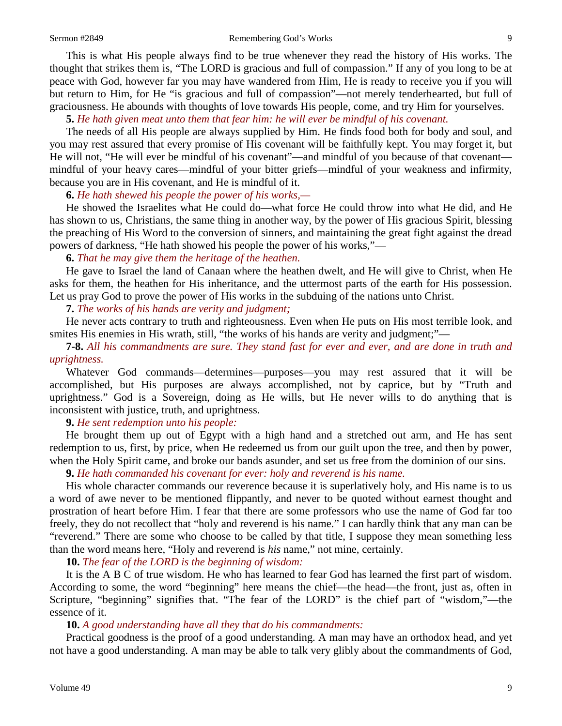This is what His people always find to be true whenever they read the history of His works. The thought that strikes them is, "The LORD is gracious and full of compassion." If any of you long to be at peace with God, however far you may have wandered from Him, He is ready to receive you if you will but return to Him, for He "is gracious and full of compassion"—not merely tenderhearted, but full of graciousness. He abounds with thoughts of love towards His people, come, and try Him for yourselves.

**5.** *He hath given meat unto them that fear him: he will ever be mindful of his covenant.*

The needs of all His people are always supplied by Him. He finds food both for body and soul, and you may rest assured that every promise of His covenant will be faithfully kept. You may forget it, but He will not, "He will ever be mindful of his covenant"—and mindful of you because of that covenant mindful of your heavy cares—mindful of your bitter griefs—mindful of your weakness and infirmity, because you are in His covenant, and He is mindful of it.

## **6.** *He hath shewed his people the power of his works,—*

He showed the Israelites what He could do—what force He could throw into what He did, and He has shown to us, Christians, the same thing in another way, by the power of His gracious Spirit, blessing the preaching of His Word to the conversion of sinners, and maintaining the great fight against the dread powers of darkness, "He hath showed his people the power of his works,"—

## **6.** *That he may give them the heritage of the heathen.*

He gave to Israel the land of Canaan where the heathen dwelt, and He will give to Christ, when He asks for them, the heathen for His inheritance, and the uttermost parts of the earth for His possession. Let us pray God to prove the power of His works in the subduing of the nations unto Christ.

**7.** *The works of his hands are verity and judgment;*

He never acts contrary to truth and righteousness. Even when He puts on His most terrible look, and smites His enemies in His wrath, still, "the works of his hands are verity and judgment;"—

## **7-8.** *All his commandments are sure. They stand fast for ever and ever, and are done in truth and uprightness.*

Whatever God commands—determines—purposes—you may rest assured that it will be accomplished, but His purposes are always accomplished, not by caprice, but by "Truth and uprightness." God is a Sovereign, doing as He wills, but He never wills to do anything that is inconsistent with justice, truth, and uprightness.

## **9.** *He sent redemption unto his people:*

He brought them up out of Egypt with a high hand and a stretched out arm, and He has sent redemption to us, first, by price, when He redeemed us from our guilt upon the tree, and then by power, when the Holy Spirit came, and broke our bands asunder, and set us free from the dominion of our sins.

## **9.** *He hath commanded his covenant for ever: holy and reverend is his name.*

His whole character commands our reverence because it is superlatively holy, and His name is to us a word of awe never to be mentioned flippantly, and never to be quoted without earnest thought and prostration of heart before Him. I fear that there are some professors who use the name of God far too freely, they do not recollect that "holy and reverend is his name." I can hardly think that any man can be "reverend." There are some who choose to be called by that title, I suppose they mean something less than the word means here, "Holy and reverend is *his* name," not mine, certainly.

**10.** *The fear of the LORD is the beginning of wisdom:*

It is the A B C of true wisdom. He who has learned to fear God has learned the first part of wisdom. According to some, the word "beginning" here means the chief—the head—the front, just as, often in Scripture, "beginning" signifies that. "The fear of the LORD" is the chief part of "wisdom,"—the essence of it.

## **10.** *A good understanding have all they that do his commandments:*

Practical goodness is the proof of a good understanding. A man may have an orthodox head, and yet not have a good understanding. A man may be able to talk very glibly about the commandments of God,